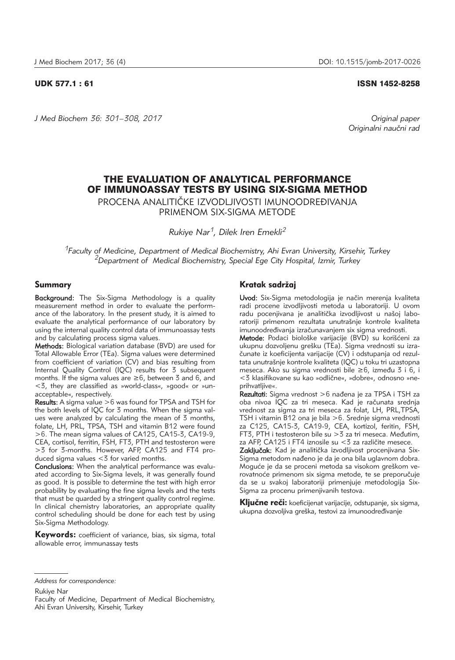*J Med Biochem 36: 301–308, 2017 Original paper*

UDK 577.1 : 61 ISSN 1452-8258

*Originalni nau~ni rad*

# THE EVALUATION OF ANALYTICAL PERFORMANCE OF IMMUNOASSAY TESTS BY USING SIX-SIGMA METHOD

PROCENA ANALITIČKE IZVODLJIVOSTI IMUNOODREĐIVANJA PRIMENOM SIX-SIGMA METODE

*Rukiye Nar1, Dilek Iren Emekli2*

*1Faculty of Medicine, Department of Medical Biochemistry, Ahi Evran University, Kirsehir, Turkey 2Department of Medical Biochemistry, Special Ege City Hospital, Izmir, Turkey* 

# Summary

Background: The Six-Sigma Methodology is a quality measurement method in order to evaluate the performance of the laboratory. In the present study, it is aimed to evaluate the analytical performance of our laboratory by using the internal quality control data of immunoassay tests and by calculating process sigma values.

Methods: Biological variation database (BVD) are used for Total Allowable Error (TEa). Sigma values were determined from coefficient of variation (CV) and bias resulting from Internal Quality Control (IQC) results for 3 subsequent months. If the sigma values are ≥6, between 3 and 6, and <3, they are classified as »world-class«, »good« or »un acceptable«, respectively.

**Results:** A sigma value  $>6$  was found for TPSA and TSH for the both levels of IQC for 3 months. When the sigma values were analyzed by calculating the mean of 3 months, folate, LH, PRL, TPSA, TSH and vitamin B12 were found >6. The mean sigma values of CA125, CA15-3, CA19-9, CEA, cortisol, ferritin, FSH, FT3, PTH and testosteron were >3 for 3-months. However, AFP, CA125 and FT4 produced sigma values <3 for varied months.

Conclusions: When the analytical performance was evaluated according to Six-Sigma levels, it was generally found as good. It is possible to determine the test with high error probability by evaluating the fine sigma levels and the tests that must be quarded by a stringent quality control regime. In clinical chemistry laboratories, an appropriate quality control scheduling should be done for each test by using Six-Sigma Methodology.

Keywords: coefficient of variance, bias, six sigma, total allowable error, immunassay tests

# Kratak sadržaj

Uvod: Six-Sigma metodologija je način merenja kvaliteta radi procene izvodljivosti metoda u laboratoriji. U ovom radu pocenjivana je analitička izvodljivost u našoj laboratoriji primenom rezultata unutra{nje kontrole kvaliteta imunoodređivanja izračunavanjem six sigma vrednosti.

Metode: Podaci biološke varijacije (BVD) su korišćeni za ukupnu dozvoljenu grešku (TEa). Sigma vrednosti su izračunate iz koeficijenta varijacije (CV) i odstupanja od rezultata unutrašnje kontrole kvaliteta (IQC) u toku tri uzastopna meseca. Ako su sigma vrednosti bile ≥6, između 3 i 6, i <3 klasifikovane su kao »odlične«, »dobre«, odnosno »neprihvatljive«.

Rezultati: Sigma vrednost >6 nađena je za TPSA i TSH za oba nivoa IOC za tri meseca. Kad je računata srednja vrednost za sigma za tri meseca za folat, LH, PRL,TPSA, TSH i vitamin B12 ona je bila >6. Srednje sigma vrednosti za C125, CA15-3, CA19-9, CEA, kortizol, feritin, FSH, FT3, PTH i testosteron bile su  $>$ 3 za tri meseca. Međutim, za AFP, CA125 i FT4 iznosile su  $<$ 3 za različite mesece.

Zaključak: Kad je analitička izvodljivost procenjivana Six-Sigma metodom nađeno je da je ona bila uglavnom dobra. Moguće je da se proceni metoda sa visokom greškom verovatnoće primenom six sigma metode, te se preporučuje da se u svakoj laboratoriji primenjuje metodologija Six-Sigma za procenu primenjivanih testova.

Ključne reči: koeficijenat varijacije, odstupanje, six sigma, ukupna dozvoljiva greška, testovi za imunoodređivanje

Rukiye Nar

*Address for correspondence:*

Faculty of Medicine, Department of Medical Biochemistry, Ahi Evran University, Kirsehir, Turkey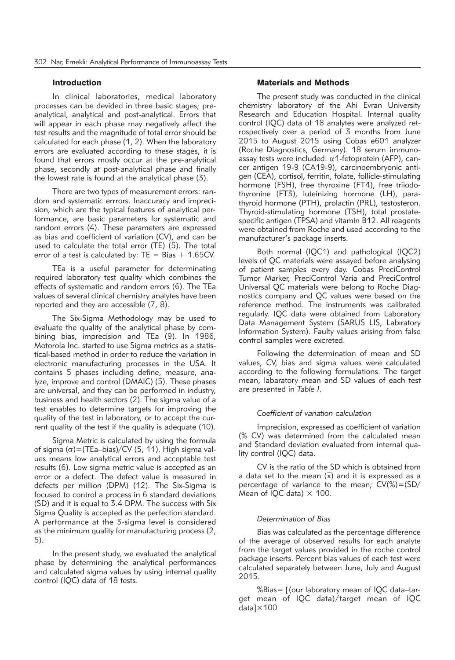# Introduction

In clinical laboratories, medical laboratory processes can be devided in three basic stages; preanalytical, analytical and post-analytical. Errors that will appear in each phase may negatively affect the test results and the magnitude of total error should be calculated for each phase (1, 2). When the laboratory errors are evaluated according to these stages, it is found that errors mostly occur at the pre-analytical phase, secondly at post-analytical phase and finally the lowest rate is found at the analytical phase (3).

There are two types of measurement errors: random and systematic errrors. Inaccuracy and imprecision, which are the typical features of analytical performance, are basic parameters for systematic and random errors (4). These parameters are expressed as bias and coefficient of variation (CV), and can be used to calculate the total error (TE) (5). The total error of a test is calculated by:  $TE = Bias + 1.65CV$ .

TEa is a useful parameter for determinating required laboratory test quality which combines the effects of systematic and random errors (6). The TEa values of several clinical chemistry analytes have been reported and they are accessible (7, 8).

The Six-Sigma Methodology may be used to evaluate the quality of the analytical phase by combining bias, imprecision and TEa (9). In 1986, Motorola Inc. started to use Sigma metrics as a statistical-based method in order to reduce the variation in electronic manufacturing processes in the USA. It contains 5 phases including define, measure, analyze, improve and control (DMAIC) (5). These phases are universal, and they can be performed in industry, business and health sectors (2). The sigma value of a test enables to determine targets for improving the quality of the test in laboratory, or to accept the current quality of the test if the quality is adequate (10).

Sigma Metric is calculated by using the formula of sigma ( $\sigma$ )=(TEa–bias)/CV (5, 11). High sigma values means low analytical errors and acceptable test results (6). Low sigma metric value is accepted as an error or a defect. The defect value is measured in defects per million (DPM) (12). The Six-Sigma is focused to control a process in 6 standard deviations (SD) and it is equal to 3.4 DPM. The success with Six Sigma Quality is accepted as the perfection standard. A performance at the 3-sigma level is considered as the minimum quality for manufacturing process (2, 5).

In the present study, we evaluated the analytical phase by determining the analytical performances and calculated sigma values by using internal quality control (IQC) data of 18 tests.

# Materials and Methods

The present study was conducted in the clinical chemistry laboratory of the Ahi Evran University Research and Education Hospital. Internal quality control (IQC) data of 18 analytes were analyzed retrospectively over a period of 3 months from June 2015 to August 2015 using Cobas e601 analyzer (Roche Diagnostics, Germany). 18 serum immunoassay tests were included:  $\alpha$ 1-fetoprotein (AFP), cancer antigen 19-9 (CA19-9), carcinoembryonic antigen (CEA), cortisol, ferritin, folate, follicle-stimulating hormone (FSH), free thyroxine (FT4), free triiodothyronine (FT3), luteinizing hormone (LH), parathyroid hormone (PTH), prolactin (PRL), testosteron. Thyroid-stimulating hormone (TSH), total prostatespecific antigen (TPSA) and vitamin B12. All reagents were obtained from Roche and used according to the manufacturer's package inserts.

Both normal (IQC1) and pathological (IQC2) levels of QC materials were assayed before analysing of patient samples every day. Cobas PreciControl Tumor Marker, PreciControl Varia and PreciControl Universal QC materials were belong to Roche Diagnostics company and QC values were based on the reference method. The instruments was calibrated regularly. IQC data were obtained from Laboratory Data Management System (SARUS LIS, Labıratory Information System). Faulty values arising from false control samples were excreted.

Following the determination of mean and SD values, CV, bias and sigma values were calculated according to the following formulations. The target mean, labaratory mean and SD values of each test are presented in *Table I*.

# *Coefficient of variation calculation*

Imprecision, expressed as coefficient of variation (% CV) was determined from the calculated mean and Standard deviation evaluated from internal quality control (IQC) data.

CV is the ratio of the SD which is obtained from a data set to the mean  $(\bar{x})$  and it is expressed as a percentage of variance to the mean;  $CV(\%) = (SD/$ Mean of IQC data)  $\times$  100.

### *Determination of Bias*

Bias was calculated as the percentage difference of the average of observed results for each analyte from the target values provided in the roche control package inserts. Percent bias values of each test were calculated separately between June, July and August 2015.

%Bias= [(our laboratory mean of IQC data–target mean of IQC data)/target mean of IQC data]×100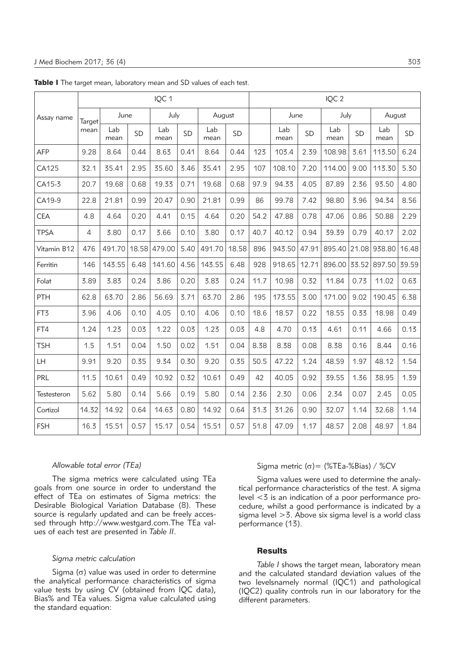|                 | IQC 1          |             |           |             |      |             |       |      | IQC <sub>2</sub> |       |             |           |             |           |
|-----------------|----------------|-------------|-----------|-------------|------|-------------|-------|------|------------------|-------|-------------|-----------|-------------|-----------|
| Assay name      | Target<br>mean | June        |           | July        |      | August      |       |      | June             |       | July        |           | August      |           |
|                 |                | Lab<br>mean | <b>SD</b> | Lab<br>mean | SD   | Lab<br>mean | SD    |      | Lab<br>mean      | SD    | Lab<br>mean | <b>SD</b> | Lab<br>mean | <b>SD</b> |
| AFP             | 9.28           | 8.64        | 0.44      | 8.63        | 0.41 | 8.64        | 0.44  | 123  | 103.4            | 2.39  | 108.98      | 3.61      | 113.50      | 6.24      |
| CA125           | 32.1           | 35.41       | 2.95      | 35.60       | 3.46 | 35.41       | 2.95  | 107  | 108.10           | 7.20  | 114.00      | 9.00      | 113.30      | 5.30      |
| CA15-3          | 20.7           | 19.68       | 0.68      | 19.33       | 0.71 | 19.68       | 0.68  | 97.9 | 94.33            | 4.05  | 87.89       | 2.36      | 93.50       | 4.80      |
| CA19-9          | 22.8           | 21.81       | 0.99      | 20.47       | 0.90 | 21.81       | 0.99  | 86   | 99.78            | 7.42  | 98.80       | 3.96      | 94.34       | 8.56      |
| <b>CEA</b>      | 4.8            | 4.64        | 0.20      | 4.41        | 0.15 | 4.64        | 0.20  | 54.2 | 47.88            | 0.78  | 47.06       | 0.86      | 50.88       | 2.29      |
| <b>TPSA</b>     | $\overline{4}$ | 3.80        | 0.17      | 3.66        | 0.10 | 3.80        | 0.17  | 40.7 | 40.12            | 0.94  | 39.39       | 0.79      | 40.17       | 2.02      |
| Vitamin B12     | 476            | 491.70      | 18.58     | 479.00      | 5.40 | 491.70      | 18.58 | 896  | 943.50           | 47.91 | 895.40      | 21.08     | 938.80      | 16.48     |
| Ferritin        | 146            | 143.55      | 6.48      | 141.60      | 4.56 | 143.55      | 6.48  | 928  | 918.65           | 12.71 | 896.00      | 33.52     | 897.50      | 39.59     |
| Folat           | 3.89           | 3.83        | 0.24      | 3.86        | 0.20 | 3.83        | 0.24  | 11.7 | 10.98            | 0.32  | 11.84       | 0.73      | 11.02       | 0.63      |
| PTH             | 62.8           | 63.70       | 2.86      | 56.69       | 3.71 | 63.70       | 2.86  | 195  | 173.55           | 3.00  | 171.00      | 9.02      | 190.45      | 6.38      |
| FT <sub>3</sub> | 3.96           | 4.06        | 0.10      | 4.05        | 0.10 | 4.06        | 0.10  | 18.6 | 18.57            | 0.22  | 18.55       | 0.33      | 18.98       | 0.49      |
| FT4             | 1.24           | 1.23        | 0.03      | 1.22        | 0.03 | 1.23        | 0.03  | 4.8  | 4.70             | 0.13  | 4.61        | 0.11      | 4.66        | 0.13      |
| <b>TSH</b>      | 1.5            | 1.51        | 0.04      | 1.50        | 0.02 | 1.51        | 0.04  | 8.38 | 8.38             | 0.08  | 8.38        | 0.16      | 8.44        | 0.16      |
| LH              | 9.91           | 9.20        | 0.35      | 9.34        | 0.30 | 9.20        | 0.35  | 50.5 | 47.22            | 1.24  | 48.59       | 1.97      | 48.12       | 1.54      |
| PRL             | 11.5           | 10.61       | 0.49      | 10.92       | 0.32 | 10.61       | 0.49  | 42   | 40.05            | 0.92  | 39.55       | 1.36      | 38.95       | 1.39      |
| Testesteron     | 5.62           | 5.80        | 0.14      | 5.66        | 0.19 | 5.80        | 0.14  | 2.36 | 2.30             | 0.06  | 2.34        | 0.07      | 2.45        | 0.05      |
| Cortizol        | 14.32          | 14.92       | 0.64      | 14.63       | 0.80 | 14.92       | 0.64  | 31.3 | 31.26            | 0.90  | 32.07       | 1.14      | 32.68       | 1.14      |
| <b>FSH</b>      | 16.3           | 15.51       | 0.57      | 15.17       | 0.54 | 15.51       | 0.57  | 51.8 | 47.09            | 1.17  | 48.57       | 2.08      | 48.97       | 1.84      |

Table I The target mean, laboratory mean and SD values of each test.

### *Allowable total error (TEa)*

The sigma metrics were calculated using TEa goals from one source in order to understand the effect of TEa on estimates of Sigma metrics: the Desirable Biological Variation Database (8). These source is regularly updated and can be freely accessed through http://www.westgard.com.The TEa values of each test are presented in *Table II*.

# *Sigma metric calculation*

Sigma  $(\sigma)$  value was used in order to determine the analytical performance characteristics of sigma value tests by using CV (obtained from IQC data), Bias% and TEa values. Sigma value calculated using the standard equation:

Sigma metric ( $\sigma$ ) = (%TEa-%Bias) / %CV

Sigma values were used to determine the analytical performance characteristics of the test. A sigma level <3 is an indication of a poor performance procedure, whilst a good performance is indicated by a sigma level >3. Above six sigma level is a world class performance (13).

# **Results**

*Table I* shows the target mean, laboratory mean and the calculated standard deviation values of the two levelsnamely normal (IQC1) and pathological (IQC2) quality controls run in our laboratory for the different parameters.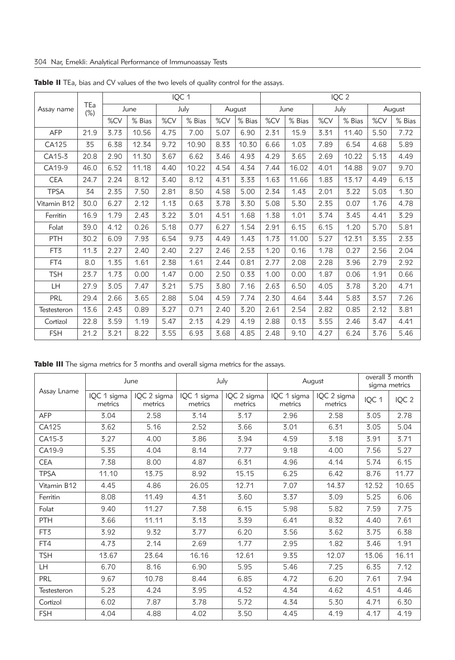|             | TEa<br>$(\%)$ | IQC 1 |        |      |        |        |        | IQC <sub>2</sub> |        |      |        |        |        |
|-------------|---------------|-------|--------|------|--------|--------|--------|------------------|--------|------|--------|--------|--------|
| Assay name  |               | June  |        | July |        | August |        | June             |        | July |        | August |        |
|             |               | %CV   | % Bias | %CV  | % Bias | %CV    | % Bias | %CV              | % Bias | %CV  | % Bias | %CV    | % Bias |
| <b>AFP</b>  | 21.9          | 3.73  | 10.56  | 4.75 | 7.00   | 5.07   | 6.90   | 2.31             | 15.9   | 3.31 | 11.40  | 5.50   | 7.72   |
| CA125       | 35            | 6.38  | 12.34  | 9.72 | 10.90  | 8.33   | 10.30  | 6.66             | 1.03   | 7.89 | 6.54   | 4.68   | 5.89   |
| CA15-3      | 20.8          | 2.90  | 11.30  | 3.67 | 6.62   | 3.46   | 4.93   | 4.29             | 3.65   | 2.69 | 10.22  | 5.13   | 4.49   |
| CA19-9      | 46.0          | 6.52  | 11.18  | 4.40 | 10.22  | 4.54   | 4.34   | 7.44             | 16.02  | 4.01 | 14.88  | 9.07   | 9.70   |
| <b>CEA</b>  | 24.7          | 2.24  | 8.12   | 3.40 | 8.12   | 4.31   | 3.33   | 1.63             | 11.66  | 1.83 | 13.17  | 4.49   | 6.13   |
| <b>TPSA</b> | 34            | 2.35  | 7.50   | 2.81 | 8.50   | 4.58   | 5.00   | 2.34             | 1.43   | 2.01 | 3.22   | 5.03   | 1.30   |
| Vitamin B12 | 30.0          | 6.27  | 2.12   | 1.13 | 0.63   | 3.78   | 3.30   | 5.08             | 5.30   | 2.35 | 0.07   | 1.76   | 4.78   |
| Ferritin    | 16.9          | 1.79  | 2.43   | 3.22 | 3.01   | 4.51   | 1.68   | 1.38             | 1.01   | 3.74 | 3.45   | 4.41   | 3.29   |
| Folat       | 39.0          | 4.12  | 0.26   | 5.18 | 0.77   | 6.27   | 1.54   | 2.91             | 6.15   | 6.15 | 1.20   | 5.70   | 5.81   |
| PTH         | 30.2          | 6.09  | 7.93   | 6.54 | 9.73   | 4.49   | 1.43   | 1.73             | 11.00  | 5.27 | 12.31  | 3.35   | 2.33   |
| FT3         | 11.3          | 2.27  | 2.40   | 2.40 | 2.27   | 2.46   | 2.53   | 1.20             | 0.16   | 1.78 | 0.27   | 2.56   | 2.04   |
| FT4         | 8.0           | 1.35  | 1.61   | 2.38 | 1.61   | 2.44   | 0.81   | 2.77             | 2.08   | 2.28 | 3.96   | 2.79   | 2.92   |
| <b>TSH</b>  | 23.7          | 1.73  | 0.00   | 1.47 | 0.00   | 2.50   | 0.33   | 1.00             | 0.00   | 1.87 | 0.06   | 1.91   | 0.66   |
| LH          | 27.9          | 3.05  | 7.47   | 3.21 | 5.75   | 3.80   | 7.16   | 2.63             | 6.50   | 4.05 | 3.78   | 3.20   | 4.71   |
| PRL         | 29.4          | 2.66  | 3.65   | 2.88 | 5.04   | 4.59   | 7.74   | 2.30             | 4.64   | 3.44 | 5.83   | 3.57   | 7.26   |
| Testesteron | 13.6          | 2.43  | 0.89   | 3.27 | 0.71   | 2.40   | 3.20   | 2.61             | 2.54   | 2.82 | 0.85   | 2.12   | 3.81   |
| Cortizol    | 22.8          | 3.59  | 1.19   | 5.47 | 2.13   | 4.29   | 4.19   | 2.88             | 0.13   | 3.55 | 2.46   | 3.47   | 4.41   |
| <b>FSH</b>  | 21.2          | 3.21  | 8.22   | 3.55 | 6.93   | 3.68   | 4.85   | 2.48             | 9.10   | 4.27 | 6.24   | 3.76   | 5.46   |

Table II TEa, bias and CV values of the two levels of quality control for the assays.

Table III The sigma metrics for 3 months and overall sigma metrics for the assays.

|             |                        | June                   |                        | July                   | August                 | overall 3 month<br>sigma metrics |       |                  |
|-------------|------------------------|------------------------|------------------------|------------------------|------------------------|----------------------------------|-------|------------------|
| Assay Lname | IQC 1 sigma<br>metrics | IQC 2 sigma<br>metrics | IQC 1 sigma<br>metrics | IQC 2 sigma<br>metrics | IQC 1 sigma<br>metrics | IQC 2 sigma<br>metrics           | IQC 1 | IQC <sub>2</sub> |
| <b>AFP</b>  | 3.04                   | 2.58                   | 3.14                   | 3.17                   | 2.96                   | 2.58                             | 3.05  | 2.78             |
| CA125       | 3.62                   | 5.16                   | 2.52                   | 3.66                   | 3.01                   | 6.31                             | 3.05  | 5.04             |
| CA15-3      | 3.27                   | 4.00                   | 3.86                   | 3.94                   | 4.59                   | 3.18                             | 3.91  | 3.71             |
| CA19-9      | 5.35                   | 4.04                   | 8.14                   | 7.77                   | 9.18                   | 4.00                             | 7.56  | 5.27             |
| <b>CEA</b>  | 7.38                   | 8.00                   | 4.87                   | 6.31                   | 4.96                   | 4.14                             | 5.74  | 6.15             |
| <b>TPSA</b> | 11.10                  | 13.75                  | 8.92                   | 15.15                  | 6.25                   | 6.42                             | 8.76  | 11.77            |
| Vitamin B12 | 4.45                   | 4.86                   | 26.05                  | 12.71                  | 7.07                   | 14.37                            | 12.52 | 10.65            |
| Ferritin    | 8.08                   | 11.49                  | 4.31                   | 3.60                   | 3.37                   | 3.09                             | 5.25  | 6.06             |
| Folat       | 9.40                   | 11.27                  | 7.38                   | 6.15                   | 5.98                   | 5.82                             | 7.59  | 7.75             |
| <b>PTH</b>  | 3.66                   | 11.11                  | 3.13                   | 3.39                   | 6.41                   | 8.32                             | 4.40  | 7.61             |
| FT3         | 3.92                   | 9.32                   | 3.77                   | 6.20                   | 3.56                   | 3.62                             | 3.75  | 6.38             |
| FT4         | 4.73                   | 2.14                   | 2.69                   | 1.77                   | 2.95                   | 1.82                             | 3.46  | 1.91             |
| <b>TSH</b>  | 13.67                  | 23.64                  | 16.16                  | 12.61                  | 9.35                   | 12.07                            | 13.06 | 16.11            |
| LH          | 6.70                   | 8.16                   | 6.90                   | 5.95                   | 5.46                   | 7.25                             | 6.35  | 7.12             |
| PRL         | 9.67                   | 10.78                  | 8.44                   | 6.85                   | 4.72                   | 6.20                             | 7.61  | 7.94             |
| Testesteron | 5.23                   | 4.24                   | 3.95                   | 4.52                   | 4.34                   | 4.62                             | 4.51  | 4.46             |
| Cortizol    | 6.02                   | 7.87                   | 3.78                   | 5.72                   | 4.34                   | 5.30                             | 4.71  | 6.30             |
| <b>FSH</b>  | 4.04                   | 4.88                   | 4.02                   | 3.50                   | 4.45                   | 4.19                             | 4.17  | 4.19             |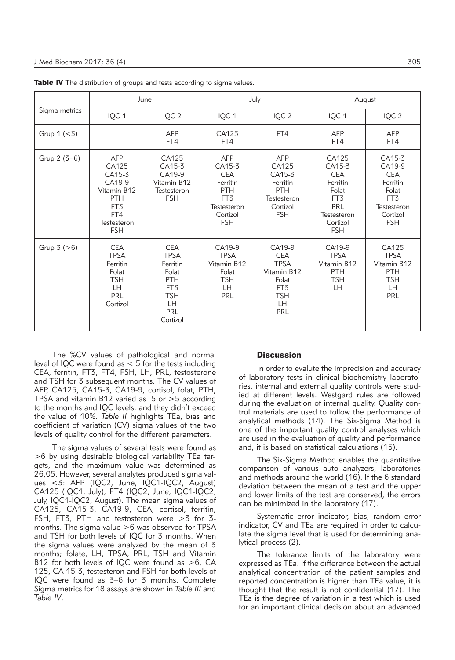|                |                                                                                                                 | June                                                                                                                     |                                                                                                                          | July                                                                                                       | August                                                                                                                |                                                                                                     |  |
|----------------|-----------------------------------------------------------------------------------------------------------------|--------------------------------------------------------------------------------------------------------------------------|--------------------------------------------------------------------------------------------------------------------------|------------------------------------------------------------------------------------------------------------|-----------------------------------------------------------------------------------------------------------------------|-----------------------------------------------------------------------------------------------------|--|
| Sigma metrics  | IQC 1                                                                                                           | IQC <sub>2</sub>                                                                                                         | IQC 1                                                                                                                    | IQC <sub>2</sub>                                                                                           | IQC 1                                                                                                                 | IQC <sub>2</sub>                                                                                    |  |
| Grup $1 (< 3)$ |                                                                                                                 | <b>AFP</b><br>FT4                                                                                                        | CA125<br>FT4                                                                                                             | FT4                                                                                                        | <b>AFP</b><br>FT4                                                                                                     | AFP<br>FT4                                                                                          |  |
| Grup $2(3-6)$  | <b>AFP</b><br>CA125<br>CA15-3<br>CA19-9<br>Vitamin B12<br><b>PTH</b><br>FT3<br>FT4<br>Testesteron<br><b>FSH</b> | CA125<br>CA15-3<br>CA19-9<br>Vitamin B12<br>Testesteron<br><b>FSH</b>                                                    | <b>AFP</b><br>CA15-3<br><b>CEA</b><br>Ferritin<br><b>PTH</b><br>FT <sub>3</sub><br>Testesteron<br>Cortizol<br><b>FSH</b> | AFP<br>CA125<br>CA15-3<br>Ferritin<br><b>PTH</b><br>Testesteron<br>Cortizol<br><b>FSH</b>                  | CA125<br>CA15-3<br><b>CEA</b><br>Ferritin<br>Folat<br>FT <sub>3</sub><br>PRL<br>Testesteron<br>Cortizol<br><b>FSH</b> | CA15-3<br>CA19-9<br><b>CEA</b><br>Ferritin<br>Folat<br>FT3<br>Testesteron<br>Cortizol<br><b>FSH</b> |  |
| Grup $3 (>6)$  | <b>CEA</b><br><b>TPSA</b><br>Ferritin<br>Folat<br><b>TSH</b><br><b>LH</b><br>PRL<br>Cortizol                    | <b>CEA</b><br><b>TPSA</b><br>Ferritin<br>Folat<br><b>PTH</b><br>FT3<br><b>TSH</b><br><b>LH</b><br><b>PRL</b><br>Cortizol | CA19-9<br><b>TPSA</b><br>Vitamin B12<br>Folat<br><b>TSH</b><br>LH.<br><b>PRL</b>                                         | CA19-9<br><b>CEA</b><br><b>TPSA</b><br>Vitamin B12<br>Folat<br>FT <sub>3</sub><br><b>TSH</b><br>LH.<br>PRL | CA19-9<br><b>TPSA</b><br>Vitamin B12<br>PTH<br><b>TSH</b><br><b>LH</b>                                                | CA125<br><b>TPSA</b><br>Vitamin B12<br>PTH<br><b>TSH</b><br>LH.<br>PRL                              |  |

Table IV The distribution of groups and tests according to sigma values.

The %CV values of pathological and normal level of IQC were found as < 5 for the tests including CEA, ferritin, FT3, FT4, FSH, LH, PRL, testosterone and TSH for 3 subsequent months. The CV values of AFP, CA125, CA15-3, CA19-9, cortisol, folat, PTH, TPSA and vitamin B12 varied as  $5$  or  $>5$  according to the months and IQC levels, and they didn't exceed the value of 10%. *Table II* highlights TEa, bias and coefficient of variation (CV) sigma values of the two levels of quality control for the different parameters.

The sigma values of several tests were found as >6 by using desirable biological variability TEa targets, and the maximum value was determined as 26,05. However, several analytes produced sigma values <3: AFP (IQC2, June, IQC1-IQC2, August) CA125 (IQC1, July); FT4 (IQC2, June, IQC1-IQC2, July, IQC1-IQC2, August). The mean sigma values of CA125, CA15-3, CA19-9, CEA, cortisol, ferritin, FSH, FT3, PTH and testosteron were >3 for 3 months. The sigma value >6 was observed for TPSA and TSH for both levels of IQC for 3 months. When the sigma values were analyzed by the mean of 3 months; folate, LH, TPSA, PRL, TSH and Vitamin B12 for both levels of IQC were found as >6, CA 125, CA 15-3, testesteron and FSH for both levels of IQC were found as 3–6 for 3 months. Complete Sigma metrics for 18 assays are shown in *Table III* and *Table IV*.

#### **Discussion**

In order to evalute the imprecision and accuracy of laboratory tests in clinical biochemistry laboratories, internal and external quality controls were studied at different levels. Westgard rules are followed during the evaluation of internal quality. Quality control materials are used to follow the performance of analytical methods (14). The Six-Sigma Method is one of the important quality control analyses which are used in the evaluation of quality and performance and, it is based on statistical calculations (15).

The Six-Sigma Method enables the quantitative comparison of various auto analyzers, laboratories and methods around the world (16). If the 6 standard deviation between the mean of a test and the upper and lower limits of the test are conserved, the errors can be minimized in the laboratory (17).

Systematic error indicator, bias, random error indicator, CV and TEa are required in order to calculate the sigma level that is used for determining analytical process (2).

The tolerance limits of the laboratory were expressed as TEa. If the difference between the actual analytical concentration of the patient samples and reported concentration is higher than TEa value, it is thought that the result is not confidential (17). The TEa is the degree of variation in a test which is used for an important clinical decision about an advanced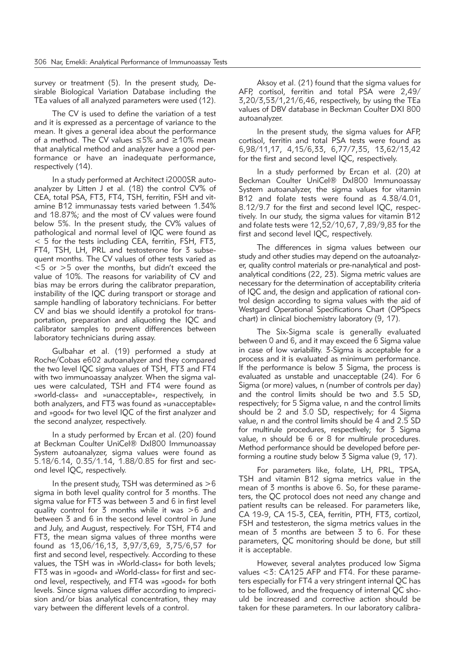survey or treatment (5). In the present study, Desirable Biological Variation Database including the TEa values of all analyzed parameters were used (12).

The CV is used to define the variation of a test and it is expressed as a percentage of variance to the mean. It gives a general idea about the performance of a method. The CV values ≤5% and ≥10% mean that analytical method and analyzer have a good performance or have an inadequate performance, respectively (14).

In a study performed at Architect i2000SR autoanalyzer by Litten J et al. (18) the control CV% of CEA, total PSA, FT3, FT4, TSH, ferritin, FSH and vitamine B12 immunassay tests varied between 1.34% and 18.87%; and the most of CV values were found below 5%. In the present study, the CV% values of pathological and normal level of IQC were found as < 5 for the tests including CEA, ferritin, FSH, FT3, FT4, TSH, LH, PRL and testosterone for 3 subsequent months. The CV values of other tests varied as  $<$  5 or  $>$  5 over the months, but didn't exceed the value of 10%. The reasons for variability of CV and bias may be errors during the calibrator preparation, instability of the IQC during transport or storage and sample handling of laboratory technicians. For better CV and bias we should identify a protokol for transportation, preparation and aliquoting the IQC and calibrator samples to prevent differences between laboratory technicians during assay.

Gulbahar et al. (19) performed a study at Roche/Cobas e602 autoanalyzer and they compared the two level IQC sigma values of TSH, FT3 and FT4 with two immunoassay analyzer. When the sigma values were calculated, TSH and FT4 were found as »world-class« and »unacceptable«, respectively, in both analyzers, and FT3 was found as »unacceptable« and »good« for two level IQC of the first analyzer and the second analyzer, respectively.

In a study performed by Ercan et al. (20) found at Beckman Coulter UniCel® Dxl800 Immunoassay System autoanalyzer, sigma values were found as 5.18/6.14, 0.35/1.14, 1.88/0.85 for first and second level IQC, respectively.

In the present study, TSH was determined as  $>6$ sigma in both level quality control for 3 months. The sigma value for FT3 was between 3 and 6 in first level quality control for 3 months while it was >6 and between 3 and 6 in the second level control in June and July, and August, respectively. For TSH, FT4 and FT3, the mean sigma values of three months were found as 13,06/16,13, 3,97/3,69, 3,75/6,57 for first and second level, respectively. According to these values, the TSH was in »World-class« for both levels; FT3 was in »good« and »World-class« for first and second level, respectively, and FT4 was »good« for both levels. Since sigma values differ according to imprecision and/or bias analytical concentration, they may vary between the different levels of a control.

Aksoy et al. (21) found that the sigma values for AFP, cortisol, ferritin and total PSA were 2,49/ 3,20/3,53/1,21/6,46, respectively, by using the TEa values of DBV database in Beckman Coulter DXI 800 autoanalyzer.

In the present study, the sigma values for AFP, cortisol, ferritin and total PSA tests were found as 6,98/11,17, 4,15/6,33, 6,77/7,35, 13,62/13,42 for the first and second level IQC, respectively.

In a study performed by Ercan et al. (20) at Beck man Coulter UniCel® DxI800 Immunoassay System autoanalyzer, the sigma values for vitamin B12 and folate tests were found as 4.38/4.01, 8.12/9.7 for the first and second level IQC, respectively. In our study, the sigma values for vitamin B12 and folate tests were 12,52/10,67, 7,89/9,83 for the first and second level IQC, respectively.

The differences in sigma values between our study and other studies may depend on the autoanalyzer, quality control materials or pre-nanalytical and postanalytical conditions (22, 23). Sigma metric values are necessary for the determination of acceptability criteria of IQC and, the design and application of rational control design according to sigma values with the aid of Westgard Operational Specifications Chart (OPSpecs chart) in clinical biochemistry laboratory (9, 17).

The Six-Sigma scale is generally evaluated between 0 and 6, and it may exceed the 6 Sigma value in case of low variability. 3-Sigma is acceptable for a process and it is evaluated as minimum performance. If the performance is below 3 Sigma, the process is evaluated as unstable and unacceptable (24). For 6 Sigma (or more) values, n (number of controls per day) and the control limits should be two and 3.5 SD, respectively; for 5 Sigma value, n and the control limits should be 2 and 3.0 SD, respectively; for 4 Sigma value, n and the control limits should be 4 and 2.5 SD for multirule procedures, respectively; for 3 Sigma value, n should be 6 or 8 for multirule procedures. Method performance should be developed before performing a routine study below 3 Sigma value (9, 17).

For parameters like, folate, LH, PRL, TPSA, TSH and vitamin B12 sigma metrics value in the mean of 3 months is above 6. So, for these parameters, the QC protocol does not need any change and patient results can be released. For parameters like, CA 19-9, CA 15-3, CEA, ferritin, PTH, FT3, cortizol, FSH and testesteron, the sigma metrics values in the mean of 3 months are between 3 to 6. For these parameters, QC monitoring should be done, but still it is acceptable.

However, several analytes produced low Sigma values <3: CA125 AFP and FT4. For these parameters especially for FT4 a very stringent internal QC has to be followed, and the frequency of internal QC should be increased and corrective action should be taken for these parameters. In our laboratory calibra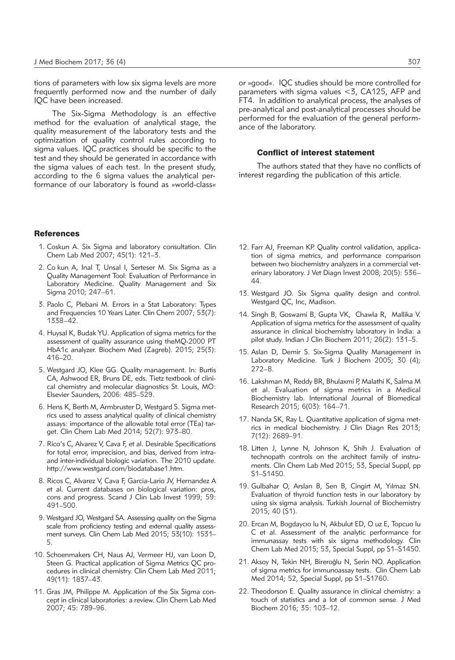tions of parameters with low six sigma levels are more frequently performed now and the number of daily IQC have been increased.

The Six-Sigma Methodology is an effective method for the evaluation of analytical stage, the quality measurement of the laboratory tests and the optimization of quality control rules according to sigma values. IQC practices should be specific to the test and they should be generated in accordance with the sigma values of each test. In the present study, according to the 6 sigma values the analytical performance of our laboratory is found as »world-class«

#### References

- 1. Coskun A. Six Sigma and laboratory consultation. Clin Chem Lab Med 2007; 45(1): 121–3.
- 2. Co kun A, Inal T, Unsal I, Serteser M. Six Sigma as a Quality Management Tool: Evaluation of Performance in Laboratory Medicine. Quality Management and Six Sigma 2010; 247–61.
- 3. Paolo C, Plebani M. Errors in a Stat Laboratory: Types and Frequencies 10 Years Later. Clin Chem 2007; 53(7): 1338–42.
- 4. Huysal K, Budak YU. Application of sigma metrics for the assessment of quality assurance using theMQ-2000 PT HbA1c analyzer. Biochem Med (Zagreb). 2015; 25(3): 416–20.
- 5. Westgard JO, Klee GG. Quality management. In: Burtis CA, Ashwood ER, Bruns DE, eds. Tietz textbook of clinical chemistry and molecular diagnostics St. Louis, MO: Elsevier Saunders, 2006: 485–529.
- 6. Hens K, Berth M, Armbruster D, Westgard S. Sigma metrics used to assess analytical quality of clinical chemistry assays: importance of the allowable total error (TEa) target. Clin Chem Lab Med 2014; 52(7): 973–80.
- 7. Rico's C, Alvarez V, Cava F, et al. Desirable Specifications for total error, imprecision, and bias, derived from intraand inter-individual biologic variation. The 2010 update. http://www.westgard.com/biodatabase1.htm.
- 8. Ricos C, Alvarez V, Cava F, Garcia-Lario JV, Hernandez A et al. Current databases on biological variation: pros, cons and progress. Scand J Clin Lab Invest 1999; 59: 491–500.
- 9. Westgard JO, Westgard SA. Assessing quality on the Sigma scale from proficiency testing and external quality assessment surveys. Clin Chem Lab Med 2015; 53(10): 1531– 5.
- 10. Schoenmakers CH, Naus AJ, Vermeer HJ, van Loon D, Steen G. Practical application of Sigma Metrics QC procedures in clinical chemistry. Clin Chem Lab Med 2011; 49(11): 1837–43.
- 11. Gras JM, Philippe M. Application of the Six Sigma concept in clinical laboratories: a review. Clin Chem Lab Med 2007; 45: 789–96.

or »good«. IQC studies should be more controlled for parameters with sigma values <3, CA125, AFP and FT4. In addition to analytical process, the analyses of pre-analytical and post-analytical processes should be performed for the evaluation of the general performance of the laboratory.

## Conflict of interest statement

The authors stated that they have no conflicts of interest regarding the publication of this article.

- 12. Farr AJ, Freeman KP. Quality control validation, application of sigma metrics, and performance comparison between two biochemistry analyzers in a commercial veterinary laboratory. J Vet Diagn Invest 2008; 20(5): 536– 44.
- 13. Westgard JO. Six Sigma quality design and control. Westgard QC, Inc, Madison.
- 14. Singh B, Goswami B, Gupta VK, Chawla R, Mallika V. Application of sigma metrics for the assessment of quality assurance in clinical biochemistry laboratory in India: a pilot study. Indian J Clin Biochem 2011; 26(2): 131–5.
- 15. Aslan D, Demir S. Six-Sigma Quality Management in Laboratory Medicine. Turk J Biochem 2005; 30 (4); 272–8.
- 16. Lakshman M, Reddy BR, Bhulaxmi P, Malathi K, Salma M et al. Evaluation of sigma metrics in a Medical Biochemistry lab. International Journal of Biomedical Research 2015; 6(03): 164–71.
- 17. Nanda SK, Ray L. Quantitative application of sigma metrics in medical biochemistry. J Clin Diagn Res 2013; 7(12): 2689–91.
- 18. Litten J, Lynne N, Johnson K, Shih J. Evaluation of technopath controls on the architect family of instruments. Clin Chem Lab Med 2015; 53, Special Suppl, pp S1–S1450.
- 19. Gulbahar O, Arslan B, Sen B, Cingirt M, Yılmaz SN. Evaluation of thyroid function tests in our laboratory by using six sigma analysis. Turkish Journal of Biochemistry 2015; 40 (S1).
- 20. Ercan M, Bogdaycıo lu N, Akbulut ED, O uz E, Topcuo lu C et al. Assessment of the analytic performance for immunassay tests with six sigma methodology. Clin Chem Lab Med 2015; 53, Special Suppl, pp S1–S1450.
- 21. Aksoy N, Tekin NH, Bireroğlu N, Serin NO. Application of sigma metrics for immunoassay tests. Clin Chem Lab Med 2014; 52, Special Suppl, pp S1–S1760.
- 22. Theodorson E. Quality assurance in clinical chemistry: a touch of statistics and a lot of common sense. J Med Biochem 2016; 35: 103–12.